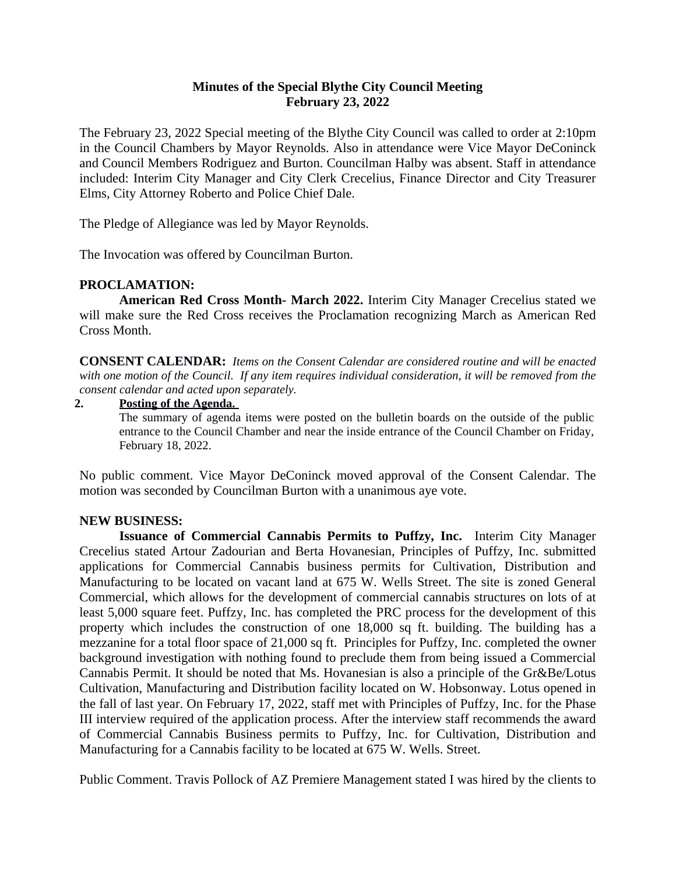## **Minutes of the Special Blythe City Council Meeting February 23, 2022**

The February 23, 2022 Special meeting of the Blythe City Council was called to order at 2:10pm in the Council Chambers by Mayor Reynolds. Also in attendance were Vice Mayor DeConinck and Council Members Rodriguez and Burton. Councilman Halby was absent. Staff in attendance included: Interim City Manager and City Clerk Crecelius, Finance Director and City Treasurer Elms, City Attorney Roberto and Police Chief Dale.

The Pledge of Allegiance was led by Mayor Reynolds.

The Invocation was offered by Councilman Burton.

# **PROCLAMATION:**

**American Red Cross Month- March 2022.** Interim City Manager Crecelius stated we will make sure the Red Cross receives the Proclamation recognizing March as American Red Cross Month.

**CONSENT CALENDAR:** *Items on the Consent Calendar are considered routine and will be enacted* with one motion of the Council. If any item requires individual consideration, it will be removed from the *consent calendar and acted upon separately.*

#### **2. Posting of the Agenda.**

The summary of agenda items were posted on the bulletin boards on the outside of the public entrance to the Council Chamber and near the inside entrance of the Council Chamber on Friday, February 18, 2022.

No public comment. Vice Mayor DeConinck moved approval of the Consent Calendar. The motion was seconded by Councilman Burton with a unanimous aye vote.

#### **NEW BUSINESS:**

**Issuance of Commercial Cannabis Permits to Puffzy, Inc.** Interim City Manager Crecelius stated Artour Zadourian and Berta Hovanesian, Principles of Puffzy, Inc. submitted applications for Commercial Cannabis business permits for Cultivation, Distribution and Manufacturing to be located on vacant land at 675 W. Wells Street. The site is zoned General Commercial, which allows for the development of commercial cannabis structures on lots of at least 5,000 square feet. Puffzy, Inc. has completed the PRC process for the development of this property which includes the construction of one 18,000 sq ft. building. The building has a mezzanine for a total floor space of 21,000 sq ft. Principles for Puffzy, Inc. completed the owner background investigation with nothing found to preclude them from being issued a Commercial Cannabis Permit. It should be noted that Ms. Hovanesian is also a principle of the Gr&Be/Lotus Cultivation, Manufacturing and Distribution facility located on W. Hobsonway. Lotus opened in the fall of last year. On February 17, 2022, staff met with Principles of Puffzy, Inc. for the Phase III interview required of the application process. After the interview staff recommends the award of Commercial Cannabis Business permits to Puffzy, Inc. for Cultivation, Distribution and Manufacturing for a Cannabis facility to be located at 675 W. Wells. Street.

Public Comment. Travis Pollock of AZ Premiere Management stated I was hired by the clients to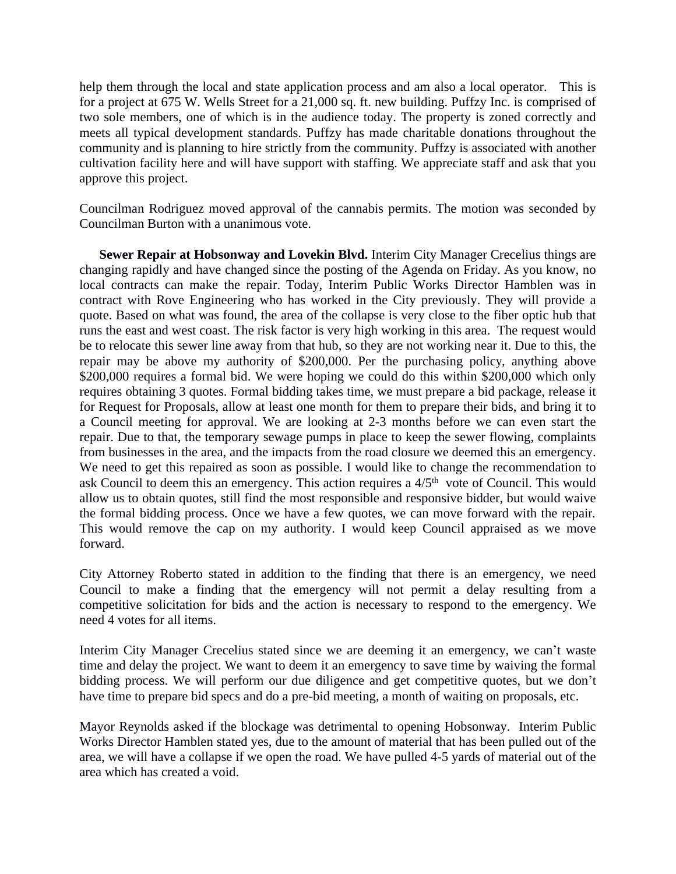help them through the local and state application process and am also a local operator. This is for a project at 675 W. Wells Street for a 21,000 sq. ft. new building. Puffzy Inc. is comprised of two sole members, one of which is in the audience today. The property is zoned correctly and meets all typical development standards. Puffzy has made charitable donations throughout the community and is planning to hire strictly from the community. Puffzy is associated with another cultivation facility here and will have support with staffing. We appreciate staff and ask that you approve this project.

Councilman Rodriguez moved approval of the cannabis permits. The motion was seconded by Councilman Burton with a unanimous vote.

**Sewer Repair at Hobsonway and Lovekin Blvd.** Interim City Manager Crecelius things are changing rapidly and have changed since the posting of the Agenda on Friday. As you know, no local contracts can make the repair. Today, Interim Public Works Director Hamblen was in contract with Rove Engineering who has worked in the City previously. They will provide a quote. Based on what was found, the area of the collapse is very close to the fiber optic hub that runs the east and west coast. The risk factor is very high working in this area. The request would be to relocate this sewer line away from that hub, so they are not working near it. Due to this, the repair may be above my authority of \$200,000. Per the purchasing policy, anything above \$200,000 requires a formal bid. We were hoping we could do this within \$200,000 which only requires obtaining 3 quotes. Formal bidding takes time, we must prepare a bid package, release it for Request for Proposals, allow at least one month for them to prepare their bids, and bring it to a Council meeting for approval. We are looking at 2-3 months before we can even start the repair. Due to that, the temporary sewage pumps in place to keep the sewer flowing, complaints from businesses in the area, and the impacts from the road closure we deemed this an emergency. We need to get this repaired as soon as possible. I would like to change the recommendation to ask Council to deem this an emergency. This action requires a  $4/5<sup>th</sup>$  vote of Council. This would allow us to obtain quotes, still find the most responsible and responsive bidder, but would waive the formal bidding process. Once we have a few quotes, we can move forward with the repair. This would remove the cap on my authority. I would keep Council appraised as we move forward.

City Attorney Roberto stated in addition to the finding that there is an emergency, we need Council to make a finding that the emergency will not permit a delay resulting from a competitive solicitation for bids and the action is necessary to respond to the emergency. We need 4 votes for all items.

Interim City Manager Crecelius stated since we are deeming it an emergency, we can't waste time and delay the project. We want to deem it an emergency to save time by waiving the formal bidding process. We will perform our due diligence and get competitive quotes, but we don't have time to prepare bid specs and do a pre-bid meeting, a month of waiting on proposals, etc.

Mayor Reynolds asked if the blockage was detrimental to opening Hobsonway. Interim Public Works Director Hamblen stated yes, due to the amount of material that has been pulled out of the area, we will have a collapse if we open the road. We have pulled 4-5 yards of material out of the area which has created a void.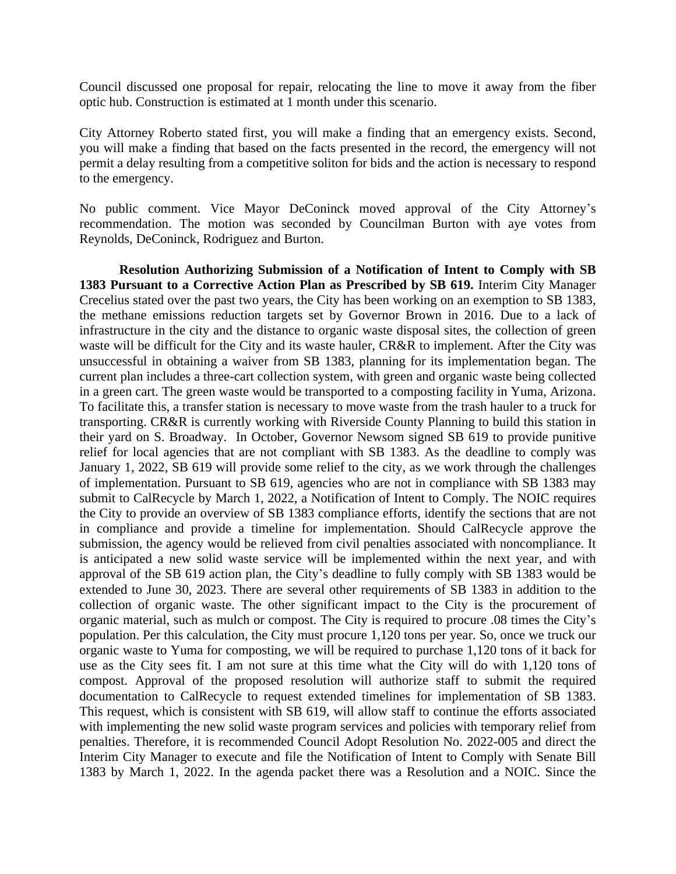Council discussed one proposal for repair, relocating the line to move it away from the fiber optic hub. Construction is estimated at 1 month under this scenario.

City Attorney Roberto stated first, you will make a finding that an emergency exists. Second, you will make a finding that based on the facts presented in the record, the emergency will not permit a delay resulting from a competitive soliton for bids and the action is necessary to respond to the emergency.

No public comment. Vice Mayor DeConinck moved approval of the City Attorney's recommendation. The motion was seconded by Councilman Burton with aye votes from Reynolds, DeConinck, Rodriguez and Burton.

**Resolution Authorizing Submission of a Notification of Intent to Comply with SB 1383 Pursuant to a Corrective Action Plan as Prescribed by SB 619.** Interim City Manager Crecelius stated over the past two years, the City has been working on an exemption to SB 1383, the methane emissions reduction targets set by Governor Brown in 2016. Due to a lack of infrastructure in the city and the distance to organic waste disposal sites, the collection of green waste will be difficult for the City and its waste hauler, CR&R to implement. After the City was unsuccessful in obtaining a waiver from SB 1383, planning for its implementation began. The current plan includes a three-cart collection system, with green and organic waste being collected in a green cart. The green waste would be transported to a composting facility in Yuma, Arizona. To facilitate this, a transfer station is necessary to move waste from the trash hauler to a truck for transporting. CR&R is currently working with Riverside County Planning to build this station in their yard on S. Broadway. In October, Governor Newsom signed SB 619 to provide punitive relief for local agencies that are not compliant with SB 1383. As the deadline to comply was January 1, 2022, SB 619 will provide some relief to the city, as we work through the challenges of implementation. Pursuant to SB 619, agencies who are not in compliance with SB 1383 may submit to CalRecycle by March 1, 2022, a Notification of Intent to Comply. The NOIC requires the City to provide an overview of SB 1383 compliance efforts, identify the sections that are not in compliance and provide a timeline for implementation. Should CalRecycle approve the submission, the agency would be relieved from civil penalties associated with noncompliance. It is anticipated a new solid waste service will be implemented within the next year, and with approval of the SB 619 action plan, the City's deadline to fully comply with SB 1383 would be extended to June 30, 2023. There are several other requirements of SB 1383 in addition to the collection of organic waste. The other significant impact to the City is the procurement of organic material, such as mulch or compost. The City is required to procure .08 times the City's population. Per this calculation, the City must procure 1,120 tons per year. So, once we truck our organic waste to Yuma for composting, we will be required to purchase 1,120 tons of it back for use as the City sees fit. I am not sure at this time what the City will do with 1,120 tons of compost. Approval of the proposed resolution will authorize staff to submit the required documentation to CalRecycle to request extended timelines for implementation of SB 1383. This request, which is consistent with SB 619, will allow staff to continue the efforts associated with implementing the new solid waste program services and policies with temporary relief from penalties. Therefore, it is recommended Council Adopt Resolution No. 2022-005 and direct the Interim City Manager to execute and file the Notification of Intent to Comply with Senate Bill 1383 by March 1, 2022. In the agenda packet there was a Resolution and a NOIC. Since the